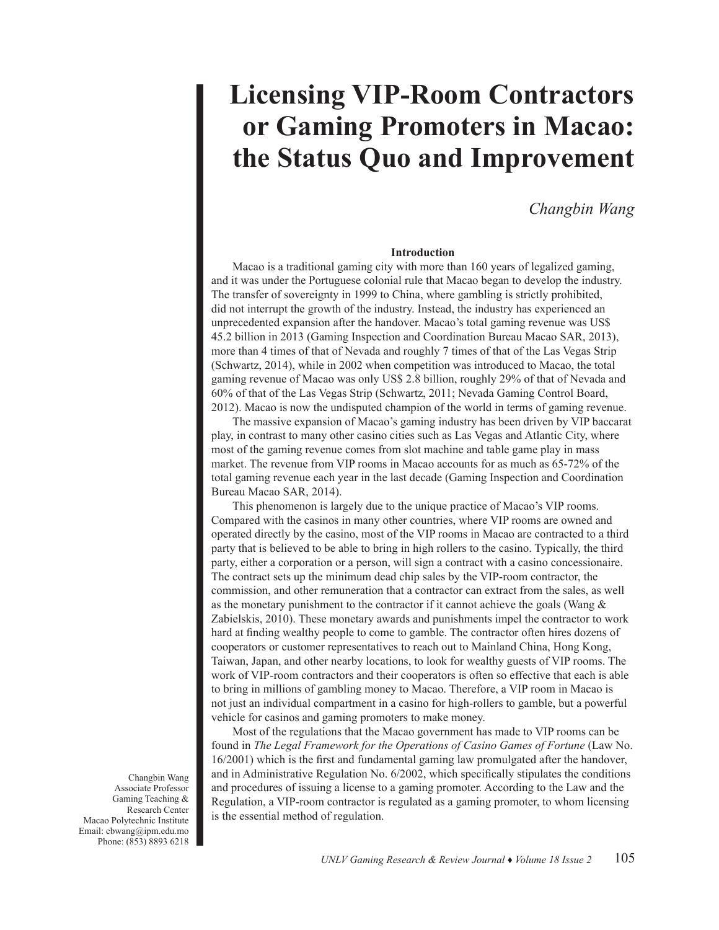# **Licensing VIP-Room Contractors or Gaming Promoters in Macao: the Status Quo and Improvement**

# *Changbin Wang*

# **Introduction**

Macao is a traditional gaming city with more than 160 years of legalized gaming, and it was under the Portuguese colonial rule that Macao began to develop the industry. The transfer of sovereignty in 1999 to China, where gambling is strictly prohibited, did not interrupt the growth of the industry. Instead, the industry has experienced an unprecedented expansion after the handover. Macao's total gaming revenue was US\$ 45.2 billion in 2013 (Gaming Inspection and Coordination Bureau Macao SAR, 2013), more than 4 times of that of Nevada and roughly 7 times of that of the Las Vegas Strip (Schwartz, 2014), while in 2002 when competition was introduced to Macao, the total gaming revenue of Macao was only US\$ 2.8 billion, roughly 29% of that of Nevada and 60% of that of the Las Vegas Strip (Schwartz, 2011; Nevada Gaming Control Board, 2012). Macao is now the undisputed champion of the world in terms of gaming revenue.

The massive expansion of Macao's gaming industry has been driven by VIP baccarat play, in contrast to many other casino cities such as Las Vegas and Atlantic City, where most of the gaming revenue comes from slot machine and table game play in mass market. The revenue from VIP rooms in Macao accounts for as much as 65-72% of the total gaming revenue each year in the last decade (Gaming Inspection and Coordination Bureau Macao SAR, 2014).

This phenomenon is largely due to the unique practice of Macao's VIP rooms. Compared with the casinos in many other countries, where VIP rooms are owned and operated directly by the casino, most of the VIP rooms in Macao are contracted to a third party that is believed to be able to bring in high rollers to the casino. Typically, the third party, either a corporation or a person, will sign a contract with a casino concessionaire. The contract sets up the minimum dead chip sales by the VIP-room contractor, the commission, and other remuneration that a contractor can extract from the sales, as well as the monetary punishment to the contractor if it cannot achieve the goals (Wang & Zabielskis, 2010). These monetary awards and punishments impel the contractor to work hard at finding wealthy people to come to gamble. The contractor often hires dozens of cooperators or customer representatives to reach out to Mainland China, Hong Kong, Taiwan, Japan, and other nearby locations, to look for wealthy guests of VIP rooms. The work of VIP-room contractors and their cooperators is often so effective that each is able to bring in millions of gambling money to Macao. Therefore, a VIP room in Macao is not just an individual compartment in a casino for high-rollers to gamble, but a powerful vehicle for casinos and gaming promoters to make money.

Most of the regulations that the Macao government has made to VIP rooms can be found in *The Legal Framework for the Operations of Casino Games of Fortune* (Law No. 16/2001) which is the first and fundamental gaming law promulgated after the handover, and in Administrative Regulation No. 6/2002, which specifically stipulates the conditions and procedures of issuing a license to a gaming promoter. According to the Law and the Regulation, a VIP-room contractor is regulated as a gaming promoter, to whom licensing is the essential method of regulation.

Changbin Wang Associate Professor Gaming Teaching & Research Center Macao Polytechnic Institute Email: cbwang@ipm.edu.mo Phone: (853) 8893 6218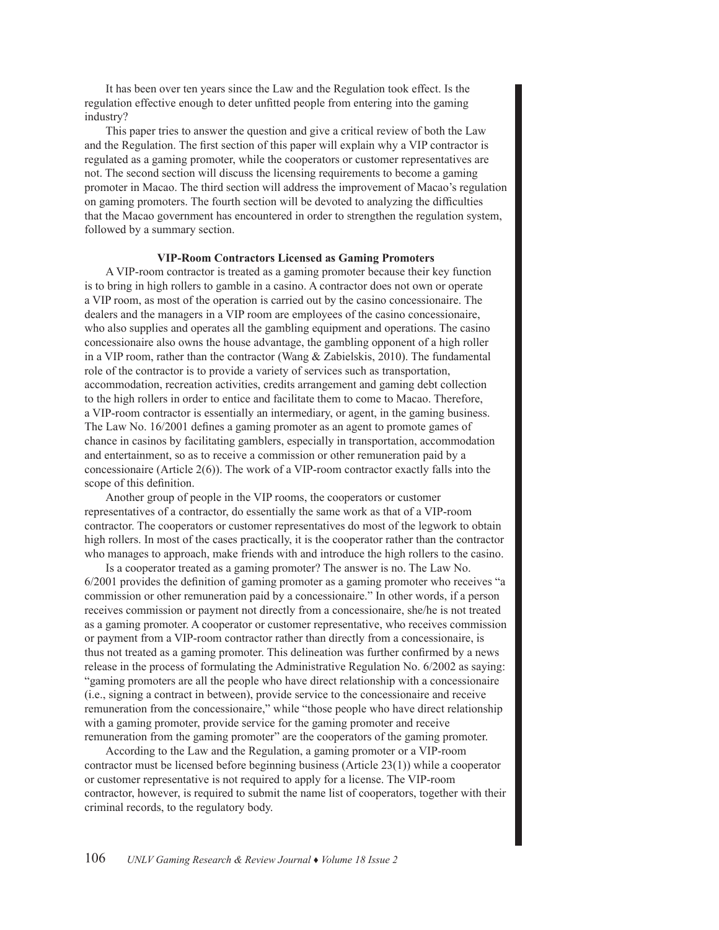It has been over ten years since the Law and the Regulation took effect. Is the regulation effective enough to deter unfitted people from entering into the gaming industry?

This paper tries to answer the question and give a critical review of both the Law and the Regulation. The first section of this paper will explain why a VIP contractor is regulated as a gaming promoter, while the cooperators or customer representatives are not. The second section will discuss the licensing requirements to become a gaming promoter in Macao. The third section will address the improvement of Macao's regulation on gaming promoters. The fourth section will be devoted to analyzing the difficulties that the Macao government has encountered in order to strengthen the regulation system, followed by a summary section.

# **VIP-Room Contractors Licensed as Gaming Promoters**

A VIP-room contractor is treated as a gaming promoter because their key function is to bring in high rollers to gamble in a casino. A contractor does not own or operate a VIP room, as most of the operation is carried out by the casino concessionaire. The dealers and the managers in a VIP room are employees of the casino concessionaire, who also supplies and operates all the gambling equipment and operations. The casino concessionaire also owns the house advantage, the gambling opponent of a high roller in a VIP room, rather than the contractor (Wang  $\&$  Zabielskis, 2010). The fundamental role of the contractor is to provide a variety of services such as transportation, accommodation, recreation activities, credits arrangement and gaming debt collection to the high rollers in order to entice and facilitate them to come to Macao. Therefore, a VIP-room contractor is essentially an intermediary, or agent, in the gaming business. The Law No. 16/2001 defines a gaming promoter as an agent to promote games of chance in casinos by facilitating gamblers, especially in transportation, accommodation and entertainment, so as to receive a commission or other remuneration paid by a concessionaire (Article 2(6)). The work of a VIP-room contractor exactly falls into the scope of this definition.

Another group of people in the VIP rooms, the cooperators or customer representatives of a contractor, do essentially the same work as that of a VIP-room contractor. The cooperators or customer representatives do most of the legwork to obtain high rollers. In most of the cases practically, it is the cooperator rather than the contractor who manages to approach, make friends with and introduce the high rollers to the casino.

Is a cooperator treated as a gaming promoter? The answer is no. The Law No. 6/2001 provides the definition of gaming promoter as a gaming promoter who receives "a commission or other remuneration paid by a concessionaire." In other words, if a person receives commission or payment not directly from a concessionaire, she/he is not treated as a gaming promoter. A cooperator or customer representative, who receives commission or payment from a VIP-room contractor rather than directly from a concessionaire, is thus not treated as a gaming promoter. This delineation was further confirmed by a news release in the process of formulating the Administrative Regulation No. 6/2002 as saying: "gaming promoters are all the people who have direct relationship with a concessionaire (i.e., signing a contract in between), provide service to the concessionaire and receive remuneration from the concessionaire," while "those people who have direct relationship with a gaming promoter, provide service for the gaming promoter and receive remuneration from the gaming promoter" are the cooperators of the gaming promoter.

According to the Law and the Regulation, a gaming promoter or a VIP-room contractor must be licensed before beginning business (Article 23(1)) while a cooperator or customer representative is not required to apply for a license. The VIP-room contractor, however, is required to submit the name list of cooperators, together with their criminal records, to the regulatory body.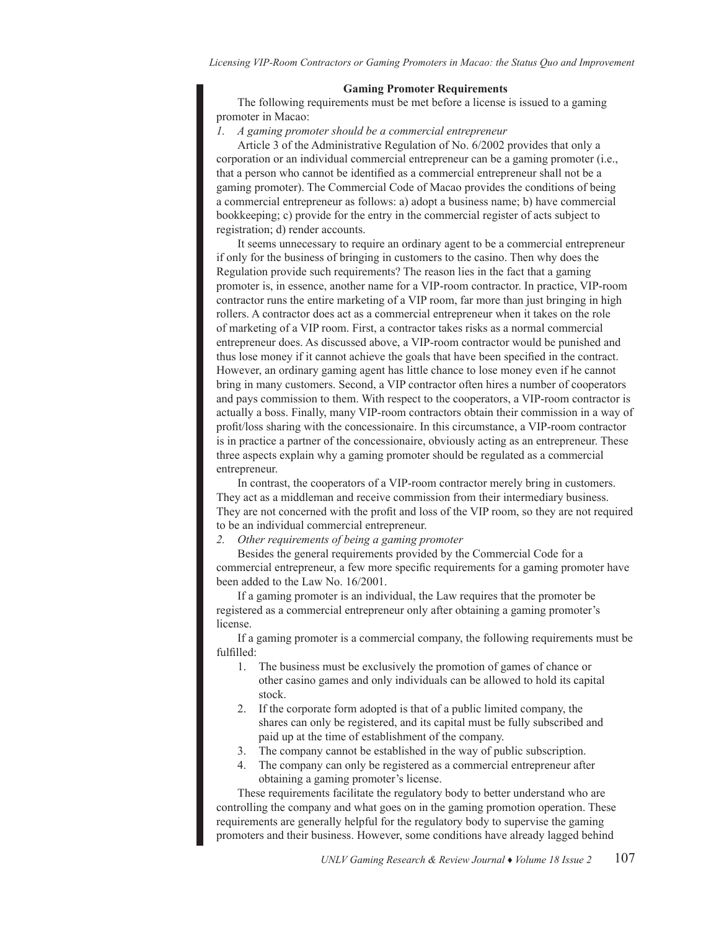# **Gaming Promoter Requirements**

The following requirements must be met before a license is issued to a gaming promoter in Macao:

#### *1. A gaming promoter should be a commercial entrepreneur*

Article 3 of the Administrative Regulation of No. 6/2002 provides that only a corporation or an individual commercial entrepreneur can be a gaming promoter (i.e., that a person who cannot be identified as a commercial entrepreneur shall not be a gaming promoter). The Commercial Code of Macao provides the conditions of being a commercial entrepreneur as follows: a) adopt a business name; b) have commercial bookkeeping; c) provide for the entry in the commercial register of acts subject to registration; d) render accounts.

It seems unnecessary to require an ordinary agent to be a commercial entrepreneur if only for the business of bringing in customers to the casino. Then why does the Regulation provide such requirements? The reason lies in the fact that a gaming promoter is, in essence, another name for a VIP-room contractor. In practice, VIP-room contractor runs the entire marketing of a VIP room, far more than just bringing in high rollers. A contractor does act as a commercial entrepreneur when it takes on the role of marketing of a VIP room. First, a contractor takes risks as a normal commercial entrepreneur does. As discussed above, a VIP-room contractor would be punished and thus lose money if it cannot achieve the goals that have been specified in the contract. However, an ordinary gaming agent has little chance to lose money even if he cannot bring in many customers. Second, a VIP contractor often hires a number of cooperators and pays commission to them. With respect to the cooperators, a VIP-room contractor is actually a boss. Finally, many VIP-room contractors obtain their commission in a way of profit/loss sharing with the concessionaire. In this circumstance, a VIP-room contractor is in practice a partner of the concessionaire, obviously acting as an entrepreneur. These three aspects explain why a gaming promoter should be regulated as a commercial entrepreneur.

In contrast, the cooperators of a VIP-room contractor merely bring in customers. They act as a middleman and receive commission from their intermediary business. They are not concerned with the profit and loss of the VIP room, so they are not required to be an individual commercial entrepreneur.

*2. Other requirements of being a gaming promoter*

Besides the general requirements provided by the Commercial Code for a commercial entrepreneur, a few more specific requirements for a gaming promoter have been added to the Law No. 16/2001.

If a gaming promoter is an individual, the Law requires that the promoter be registered as a commercial entrepreneur only after obtaining a gaming promoter's license.

If a gaming promoter is a commercial company, the following requirements must be fulfilled:

- 1. The business must be exclusively the promotion of games of chance or other casino games and only individuals can be allowed to hold its capital stock.
- 2. If the corporate form adopted is that of a public limited company, the shares can only be registered, and its capital must be fully subscribed and paid up at the time of establishment of the company.
- 3. The company cannot be established in the way of public subscription.
- 4. The company can only be registered as a commercial entrepreneur after obtaining a gaming promoter's license.

These requirements facilitate the regulatory body to better understand who are controlling the company and what goes on in the gaming promotion operation. These requirements are generally helpful for the regulatory body to supervise the gaming promoters and their business. However, some conditions have already lagged behind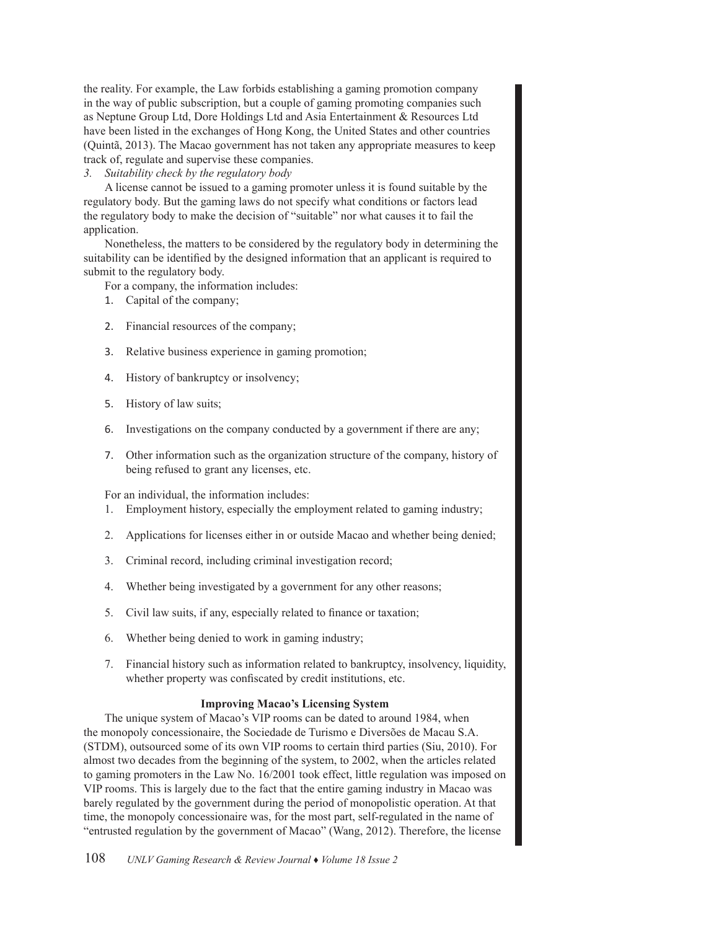the reality. For example, the Law forbids establishing a gaming promotion company in the way of public subscription, but a couple of gaming promoting companies such as Neptune Group Ltd, Dore Holdings Ltd and Asia Entertainment & Resources Ltd have been listed in the exchanges of Hong Kong, the United States and other countries (Quintã, 2013). The Macao government has not taken any appropriate measures to keep track of, regulate and supervise these companies.

*3. Suitability check by the regulatory body*

A license cannot be issued to a gaming promoter unless it is found suitable by the regulatory body. But the gaming laws do not specify what conditions or factors lead the regulatory body to make the decision of "suitable" nor what causes it to fail the application.

Nonetheless, the matters to be considered by the regulatory body in determining the suitability can be identified by the designed information that an applicant is required to submit to the regulatory body.

For a company, the information includes:

- 1. Capital of the company;
- 2. Financial resources of the company;
- 3. Relative business experience in gaming promotion;
- 4. History of bankruptcy or insolvency;
- 5. History of law suits;
- 6. Investigations on the company conducted by a government if there are any;
- 7. Other information such as the organization structure of the company, history of being refused to grant any licenses, etc.

For an individual, the information includes:

- 1. Employment history, especially the employment related to gaming industry;
- 2. Applications for licenses either in or outside Macao and whether being denied;
- 3. Criminal record, including criminal investigation record;
- 4. Whether being investigated by a government for any other reasons;
- 5. Civil law suits, if any, especially related to finance or taxation;
- 6. Whether being denied to work in gaming industry;
- 7. Financial history such as information related to bankruptcy, insolvency, liquidity, whether property was confiscated by credit institutions, etc.

# **Improving Macao's Licensing System**

The unique system of Macao's VIP rooms can be dated to around 1984, when the monopoly concessionaire, the Sociedade de Turismo e Diversões de Macau S.A. (STDM), outsourced some of its own VIP rooms to certain third parties (Siu, 2010). For almost two decades from the beginning of the system, to 2002, when the articles related to gaming promoters in the Law No. 16/2001 took effect, little regulation was imposed on VIP rooms. This is largely due to the fact that the entire gaming industry in Macao was barely regulated by the government during the period of monopolistic operation. At that time, the monopoly concessionaire was, for the most part, self-regulated in the name of "entrusted regulation by the government of Macao" (Wang, 2012). Therefore, the license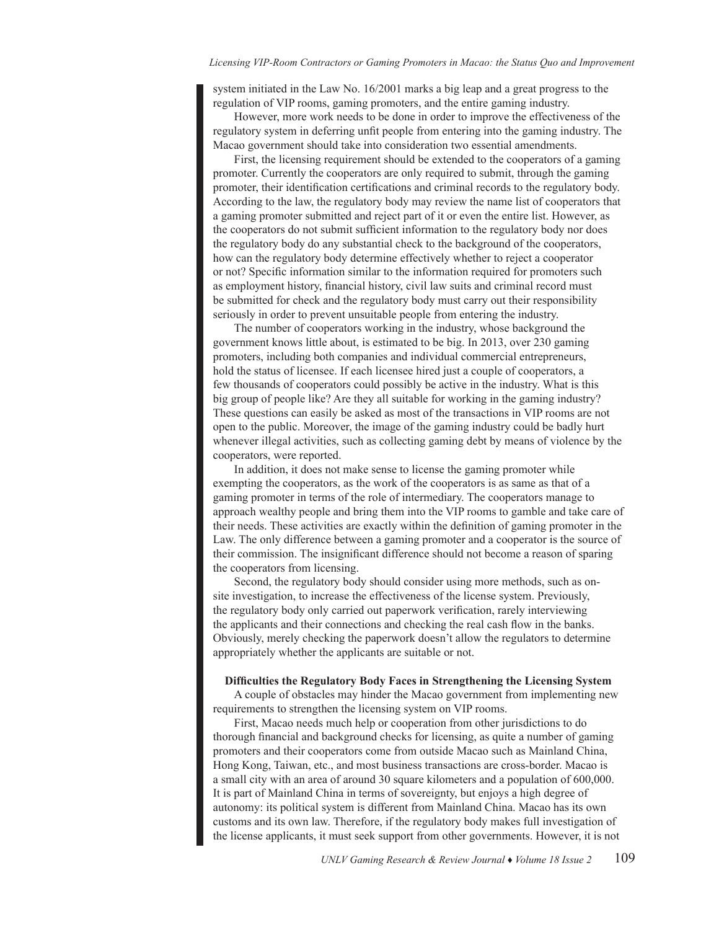system initiated in the Law No. 16/2001 marks a big leap and a great progress to the regulation of VIP rooms, gaming promoters, and the entire gaming industry.

However, more work needs to be done in order to improve the effectiveness of the regulatory system in deferring unfit people from entering into the gaming industry. The Macao government should take into consideration two essential amendments.

First, the licensing requirement should be extended to the cooperators of a gaming promoter. Currently the cooperators are only required to submit, through the gaming promoter, their identification certifications and criminal records to the regulatory body. According to the law, the regulatory body may review the name list of cooperators that a gaming promoter submitted and reject part of it or even the entire list. However, as the cooperators do not submit sufficient information to the regulatory body nor does the regulatory body do any substantial check to the background of the cooperators, how can the regulatory body determine effectively whether to reject a cooperator or not? Specific information similar to the information required for promoters such as employment history, financial history, civil law suits and criminal record must be submitted for check and the regulatory body must carry out their responsibility seriously in order to prevent unsuitable people from entering the industry.

The number of cooperators working in the industry, whose background the government knows little about, is estimated to be big. In 2013, over 230 gaming promoters, including both companies and individual commercial entrepreneurs, hold the status of licensee. If each licensee hired just a couple of cooperators, a few thousands of cooperators could possibly be active in the industry. What is this big group of people like? Are they all suitable for working in the gaming industry? These questions can easily be asked as most of the transactions in VIP rooms are not open to the public. Moreover, the image of the gaming industry could be badly hurt whenever illegal activities, such as collecting gaming debt by means of violence by the cooperators, were reported.

In addition, it does not make sense to license the gaming promoter while exempting the cooperators, as the work of the cooperators is as same as that of a gaming promoter in terms of the role of intermediary. The cooperators manage to approach wealthy people and bring them into the VIP rooms to gamble and take care of their needs. These activities are exactly within the definition of gaming promoter in the Law. The only difference between a gaming promoter and a cooperator is the source of their commission. The insignificant difference should not become a reason of sparing the cooperators from licensing.

Second, the regulatory body should consider using more methods, such as onsite investigation, to increase the effectiveness of the license system. Previously, the regulatory body only carried out paperwork verification, rarely interviewing the applicants and their connections and checking the real cash flow in the banks. Obviously, merely checking the paperwork doesn't allow the regulators to determine appropriately whether the applicants are suitable or not.

# **Difficulties the Regulatory Body Faces in Strengthening the Licensing System**

A couple of obstacles may hinder the Macao government from implementing new requirements to strengthen the licensing system on VIP rooms.

First, Macao needs much help or cooperation from other jurisdictions to do thorough financial and background checks for licensing, as quite a number of gaming promoters and their cooperators come from outside Macao such as Mainland China, Hong Kong, Taiwan, etc., and most business transactions are cross-border. Macao is a small city with an area of around 30 square kilometers and a population of 600,000. It is part of Mainland China in terms of sovereignty, but enjoys a high degree of autonomy: its political system is different from Mainland China. Macao has its own customs and its own law. Therefore, if the regulatory body makes full investigation of the license applicants, it must seek support from other governments. However, it is not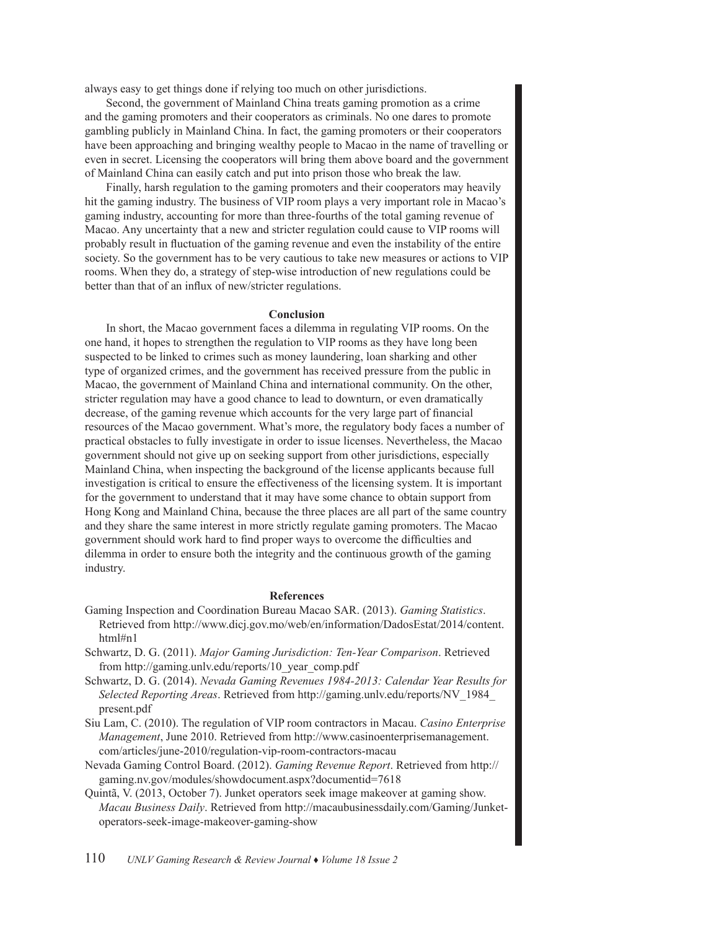always easy to get things done if relying too much on other jurisdictions.

Second, the government of Mainland China treats gaming promotion as a crime and the gaming promoters and their cooperators as criminals. No one dares to promote gambling publicly in Mainland China. In fact, the gaming promoters or their cooperators have been approaching and bringing wealthy people to Macao in the name of travelling or even in secret. Licensing the cooperators will bring them above board and the government of Mainland China can easily catch and put into prison those who break the law.

Finally, harsh regulation to the gaming promoters and their cooperators may heavily hit the gaming industry. The business of VIP room plays a very important role in Macao's gaming industry, accounting for more than three-fourths of the total gaming revenue of Macao. Any uncertainty that a new and stricter regulation could cause to VIP rooms will probably result in fluctuation of the gaming revenue and even the instability of the entire society. So the government has to be very cautious to take new measures or actions to VIP rooms. When they do, a strategy of step-wise introduction of new regulations could be better than that of an influx of new/stricter regulations.

#### **Conclusion**

In short, the Macao government faces a dilemma in regulating VIP rooms. On the one hand, it hopes to strengthen the regulation to VIP rooms as they have long been suspected to be linked to crimes such as money laundering, loan sharking and other type of organized crimes, and the government has received pressure from the public in Macao, the government of Mainland China and international community. On the other, stricter regulation may have a good chance to lead to downturn, or even dramatically decrease, of the gaming revenue which accounts for the very large part of financial resources of the Macao government. What's more, the regulatory body faces a number of practical obstacles to fully investigate in order to issue licenses. Nevertheless, the Macao government should not give up on seeking support from other jurisdictions, especially Mainland China, when inspecting the background of the license applicants because full investigation is critical to ensure the effectiveness of the licensing system. It is important for the government to understand that it may have some chance to obtain support from Hong Kong and Mainland China, because the three places are all part of the same country and they share the same interest in more strictly regulate gaming promoters. The Macao government should work hard to find proper ways to overcome the difficulties and dilemma in order to ensure both the integrity and the continuous growth of the gaming industry.

### **References**

- Gaming Inspection and Coordination Bureau Macao SAR. (2013). *Gaming Statistics*. Retrieved from http://www.dicj.gov.mo/web/en/information/DadosEstat/2014/content. html#n1
- Schwartz, D. G. (2011). *Major Gaming Jurisdiction: Ten-Year Comparison*. Retrieved from http://gaming.unlv.edu/reports/10\_year\_comp.pdf
- Schwartz, D. G. (2014). *Nevada Gaming Revenues 1984-2013: Calendar Year Results for Selected Reporting Areas*. Retrieved from http://gaming.unlv.edu/reports/NV\_1984\_ present.pdf
- Siu Lam, C. (2010). The regulation of VIP room contractors in Macau. *Casino Enterprise Management*, June 2010. Retrieved from http://www.casinoenterprisemanagement. com/articles/june-2010/regulation-vip-room-contractors-macau
- Nevada Gaming Control Board. (2012). *Gaming Revenue Report*. Retrieved from http:// gaming.nv.gov/modules/showdocument.aspx?documentid=7618
- Quintã, V. (2013, October 7). Junket operators seek image makeover at gaming show. *Macau Business Daily*. Retrieved from http://macaubusinessdaily.com/Gaming/Junketoperators-seek-image-makeover-gaming-show